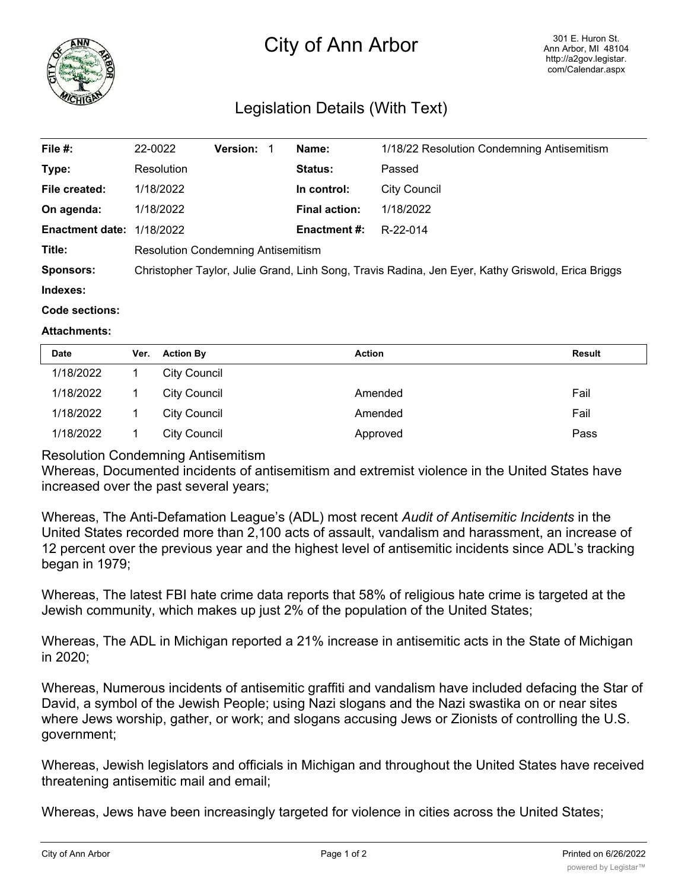

## City of Ann Arbor

## Legislation Details (With Text)

| File #:                | 22-0022                                                                                           | <b>Version:</b> | Name:                | 1/18/22 Resolution Condemning Antisemitism |  |
|------------------------|---------------------------------------------------------------------------------------------------|-----------------|----------------------|--------------------------------------------|--|
| Type:                  | Resolution                                                                                        |                 | Status:              | Passed                                     |  |
| File created:          | 1/18/2022                                                                                         |                 | In control:          | <b>City Council</b>                        |  |
| On agenda:             | 1/18/2022                                                                                         |                 | <b>Final action:</b> | 1/18/2022                                  |  |
| <b>Enactment date:</b> | 1/18/2022                                                                                         |                 | <b>Enactment #:</b>  | R-22-014                                   |  |
| Title:                 | <b>Resolution Condemning Antisemitism</b>                                                         |                 |                      |                                            |  |
| <b>Sponsors:</b>       | Christopher Taylor, Julie Grand, Linh Song, Travis Radina, Jen Eyer, Kathy Griswold, Erica Briggs |                 |                      |                                            |  |
| Indexes:               |                                                                                                   |                 |                      |                                            |  |
| Code sections:         |                                                                                                   |                 |                      |                                            |  |

## **Attachments:**

| <b>Date</b> | Ver. | <b>Action By</b> | <b>Action</b> | Result |
|-------------|------|------------------|---------------|--------|
| 1/18/2022   |      | City Council     |               |        |
| 1/18/2022   |      | City Council     | Amended       | Fail   |
| 1/18/2022   |      | City Council     | Amended       | Fail   |
| 1/18/2022   |      | City Council     | Approved      | Pass   |

## Resolution Condemning Antisemitism

Whereas, Documented incidents of antisemitism and extremist violence in the United States have increased over the past several years;

Whereas, The Anti-Defamation League's (ADL) most recent *Audit of Antisemitic Incidents* in the United States recorded more than 2,100 acts of assault, vandalism and harassment, an increase of 12 percent over the previous year and the highest level of antisemitic incidents since ADL's tracking began in 1979;

Whereas, The latest FBI hate crime data reports that 58% of religious hate crime is targeted at the Jewish community, which makes up just 2% of the population of the United States;

Whereas, The ADL in Michigan reported a 21% increase in antisemitic acts in the State of Michigan in 2020;

Whereas, Numerous incidents of antisemitic graffiti and vandalism have included defacing the Star of David, a symbol of the Jewish People; using Nazi slogans and the Nazi swastika on or near sites where Jews worship, gather, or work; and slogans accusing Jews or Zionists of controlling the U.S. government;

Whereas, Jewish legislators and officials in Michigan and throughout the United States have received threatening antisemitic mail and email;

Whereas, Jews have been increasingly targeted for violence in cities across the United States;